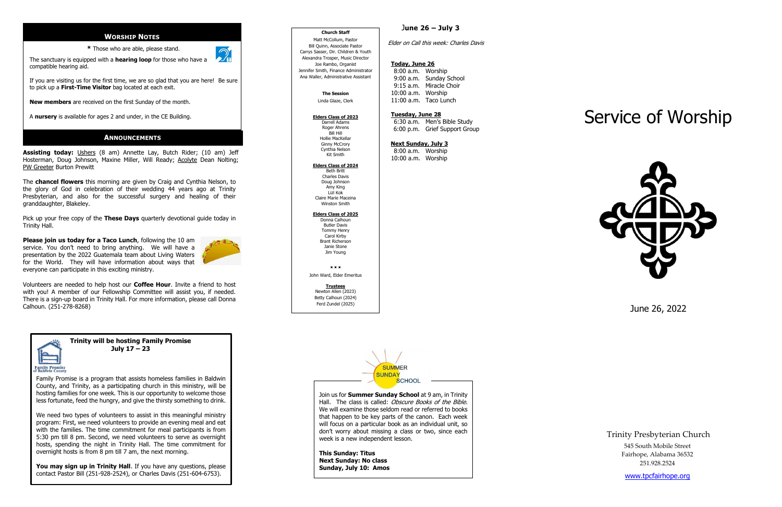**Trinity will be hosting Family Promise July 17 – 23** 

Family Promise is a program that assists homeless families in Baldwin County, and Trinity, as a participating church in this ministry, will be hosting families for one week. This is our opportunity to welcome those less fortunate, feed the hungry, and give the thirsty something to drink.

You may sign up in Trinity Hall. If you have any questions, please contact Pastor Bill (251 -928 -2524), or Charles Davis (251 -604 -6753).

We need two types of volunteers to assist in this meaningful ministry program: First, we need volunteers to provide an evening meal and eat with the families. The time commitment for meal participants is from 5:30 pm till 8 pm. Second, we need volunteers to serve as overnight hosts, spending the night in Trinity Hall. The time commitment for overnight hosts is from 8 pm till 7 am , the next morning.

# **WORSHIP NOTES**

**\*** Those who are able, please stand.



compatible hearing aid.

If you are visiting us for the first time, we are so glad that you are here! Be sure to pick up a **First -Time Visitor** bag located at each exit.

**New members** are received on the first Sunday of the month.

A **nursery** is available for ages 2 and under, in the CE Building.

**Assisting today:** Ushers (8 am) Annette Lay, Butch Rider; (10 am) Jeff Hosterman, Doug Johnson, Maxine Miller, Will Ready; Acolyte Dean Nolting; PW Greeter Burton Prewitt

The **chancel flowers** this morning are given by Craig and Cynthia Nelson, to the glory of God in celebration of their wedding 44 years ago at Trinity Presbyterian , and also for the successful surgery and healing of their granddaughter, Blakeley .

Pick up your free copy of the **These Days** quarterly devotional guide today in Trinity Hall.

**Please join us today for a Taco Lunch**, following the 10 am service. You don't need to bring anything. We will have a presentation by the 2022 Guatemala team about Living Waters for the World. They will have information about ways that everyone can participate in this exciting ministry.



 $x \times x$ John Ward, Elder Emeritus

Volunteers are needed to help host our **Coffee Hour**. Invite a friend to host with you! A member of our Fellowship Committee will assist you, if needed. There is a sign -up board in Trinity Hall. For more information, please call Donna Calhoun. (251 -278 -8268)



# J**une 26 – July 3**

Elder on Call this week: Charles Davis

## **Today, June 26**

8:00 a.m. Worship 9:00 a.m. Sunday School 9:15 a.m. Miracle Choir 10:00 a.m. Worship 11:00 a.m. Taco Lunch

#### **Tuesday, June 2 8**

 6:30 a.m. Men's Bible Study 6:00 p.m. Grief Support Group

#### **Next Sunday, July 3**

8:00 a.m. Worship 10:00 a.m. Worship

# Service of Worship



June 26, 2022

Trinity Presbyterian Church 545 South Mobile Street Fairhope, Alabama 36532 251.928.2524

[www.tpcfairhope.org](http://www.tpcfairhope.org/)

Join us for **Summer Sunday School** at 9 am, in Trinity Hall. The class is called: Obscure Books of the Bible. We will examine those seldom read or referred to books that happen to be key parts of the canon. Each week will focus on a particular book as an individual unit, so don't worry about missing a class or two, since each week is a new independent lesson.

**This Sunday: Titus Next Sunday: No class Sunday, July 10: Amos**

# **Church Staff**

 $\overline{\phantom{a}}$ 

Matt McCollum, Pastor Bill Quinn, Associate Pastor Carrys Sasser, Dir. Children & Youth Alexandra Trosper, Music Director Joe Rambo, Organist Jennifer Smith, Finance Administrator Ana Waller, Administrative Assistant

## **The Session**

Linda Glaze, Clerk

# **Elders Class of 2023**

Darrell Adams Roger Ahrens Bill Hill Hollie MacKellar Ginny McCrory Cynthia Nelson Kit Smith

#### **Elders Class of 20 2 4**

Beth Britt Charles Davis Doug Johnson Amy King Lizl Kok Claire Marie Maceina Winston Smith

## **Elders Class of 2025**

Donna Calhoun Butler Davis Tommy Henry Carol Kirby Brant Richerson Janie Stone Jim Young

**Trustees** Newton Allen (2023) Betty Calhoun (2024) Ferd Zundel (2025)



# **ANNOUNCEMENTS**